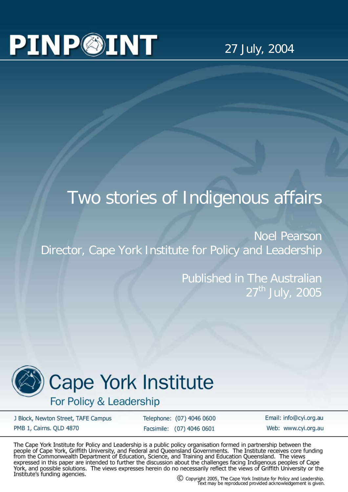## **PINP©INT**

27 July, 2004

## Two stories of Indigenous affairs

Noel Pearson Director, Cape York Institute for Policy and Leadership

> Published in The Australian  $27<sup>th</sup>$  July, 2005



## **Cape York Institute**

For Policy & Leadership

J Block, Newton Street, TAFE Campus PMB 1, Cairns. QLD 4870

Telephone: (07) 4046 0600 Facsimile: (07) 4046 0601

Email: info@cyi.org.au Web: www.cvi.org.au

The Cape York Institute for Policy and Leadership is a public policy organisation formed in partnership between the people of Cape York, Griffith University, and Federal and Queensland Governments. The Institute receives core funding<br>from the Commonwealth Department of Education, Science, and Training and Education Queensland. The views expressed in this paper are intended to further the discussion about the challenges facing Indigenous peoples of Cape<br>York, and possible solutions. The views expresses herein do no necessarily reflect the views of Griffith Institute's funding agencies.

C Copyright 2005, The Cape York Institute for Policy and Leadership.<br>Text may be reproduced provided acknowledgement is given.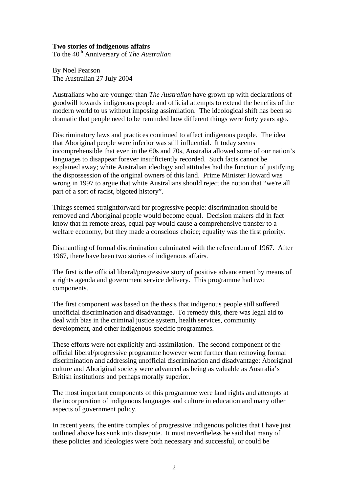## **Two stories of indigenous affairs**

To the 40<sup>th</sup> Anniversary of *The Australian* 

By Noel Pearson The Australian 27 July 2004

Australians who are younger than *The Australian* have grown up with declarations of goodwill towards indigenous people and official attempts to extend the benefits of the modern world to us without imposing assimilation. The ideological shift has been so dramatic that people need to be reminded how different things were forty years ago.

Discriminatory laws and practices continued to affect indigenous people. The idea that Aboriginal people were inferior was still influential. It today seems incomprehensible that even in the 60s and 70s, Australia allowed some of our nation's languages to disappear forever insufficiently recorded. Such facts cannot be explained away; white Australian ideology and attitudes had the function of justifying the dispossession of the original owners of this land. Prime Minister Howard was wrong in 1997 to argue that white Australians should reject the notion that "we're all part of a sort of racist, bigoted history".

Things seemed straightforward for progressive people: discrimination should be removed and Aboriginal people would become equal. Decision makers did in fact know that in remote areas, equal pay would cause a comprehensive transfer to a welfare economy, but they made a conscious choice; equality was the first priority.

Dismantling of formal discrimination culminated with the referendum of 1967. After 1967, there have been two stories of indigenous affairs.

The first is the official liberal/progressive story of positive advancement by means of a rights agenda and government service delivery. This programme had two components.

The first component was based on the thesis that indigenous people still suffered unofficial discrimination and disadvantage. To remedy this, there was legal aid to deal with bias in the criminal justice system, health services, community development, and other indigenous-specific programmes.

These efforts were not explicitly anti-assimilation. The second component of the official liberal/progressive programme however went further than removing formal discrimination and addressing unofficial discrimination and disadvantage: Aboriginal culture and Aboriginal society were advanced as being as valuable as Australia's British institutions and perhaps morally superior.

The most important components of this programme were land rights and attempts at the incorporation of indigenous languages and culture in education and many other aspects of government policy.

In recent years, the entire complex of progressive indigenous policies that I have just outlined above has sunk into disrepute. It must nevertheless be said that many of these policies and ideologies were both necessary and successful, or could be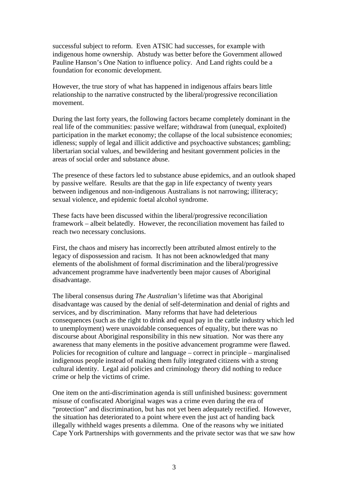successful subject to reform. Even ATSIC had successes, for example with indigenous home ownership. Abstudy was better before the Government allowed Pauline Hanson's One Nation to influence policy. And Land rights could be a foundation for economic development.

However, the true story of what has happened in indigenous affairs bears little relationship to the narrative constructed by the liberal/progressive reconciliation movement.

During the last forty years, the following factors became completely dominant in the real life of the communities: passive welfare; withdrawal from (unequal, exploited) participation in the market economy; the collapse of the local subsistence economies; idleness; supply of legal and illicit addictive and psychoactive substances; gambling; libertarian social values, and bewildering and hesitant government policies in the areas of social order and substance abuse.

The presence of these factors led to substance abuse epidemics, and an outlook shaped by passive welfare. Results are that the gap in life expectancy of twenty years between indigenous and non-indigenous Australians is not narrowing; illiteracy; sexual violence, and epidemic foetal alcohol syndrome.

These facts have been discussed within the liberal/progressive reconciliation framework – albeit belatedly. However, the reconciliation movement has failed to reach two necessary conclusions.

First, the chaos and misery has incorrectly been attributed almost entirely to the legacy of dispossession and racism. It has not been acknowledged that many elements of the abolishment of formal discrimination and the liberal/progressive advancement programme have inadvertently been major causes of Aboriginal disadvantage.

The liberal consensus during *The Australian's* lifetime was that Aboriginal disadvantage was caused by the denial of self-determination and denial of rights and services, and by discrimination. Many reforms that have had deleterious consequences (such as the right to drink and equal pay in the cattle industry which led to unemployment) were unavoidable consequences of equality, but there was no discourse about Aboriginal responsibility in this new situation. Nor was there any awareness that many elements in the positive advancement programme were flawed. Policies for recognition of culture and language – correct in principle – marginalised indigenous people instead of making them fully integrated citizens with a strong cultural identity. Legal aid policies and criminology theory did nothing to reduce crime or help the victims of crime.

One item on the anti-discrimination agenda is still unfinished business: government misuse of confiscated Aboriginal wages was a crime even during the era of "protection" and discrimination, but has not yet been adequately rectified. However, the situation has deteriorated to a point where even the just act of handing back illegally withheld wages presents a dilemma. One of the reasons why we initiated Cape York Partnerships with governments and the private sector was that we saw how